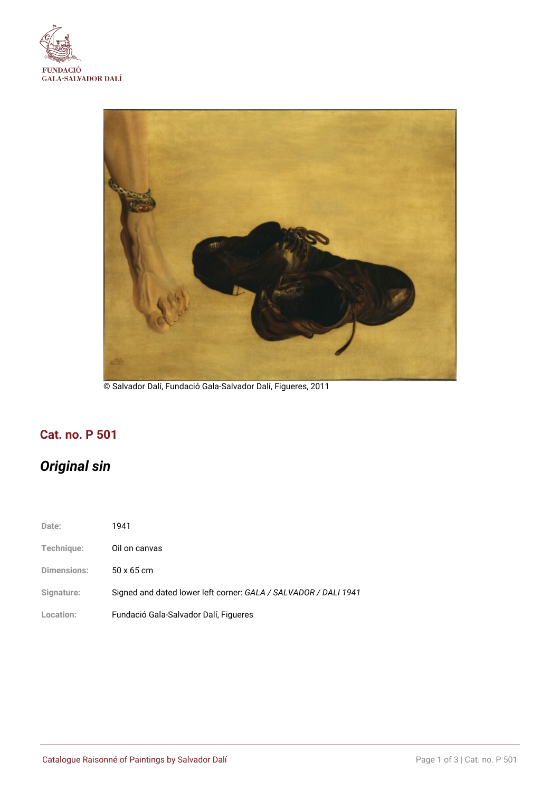



© Salvador Dalí, Fundació Gala-Salvador Dalí, Figueres, 2011

## **Cat. no. P 501**

# *Original sin*

| Date:              | 1941                                                            |
|--------------------|-----------------------------------------------------------------|
| Technique:         | Oil on canvas                                                   |
| <b>Dimensions:</b> | $50 \times 65$ cm                                               |
| Signature:         | Signed and dated lower left corner: GALA / SALVADOR / DALI 1941 |
| Location:          | Fundació Gala-Salvador Dalí, Figueres                           |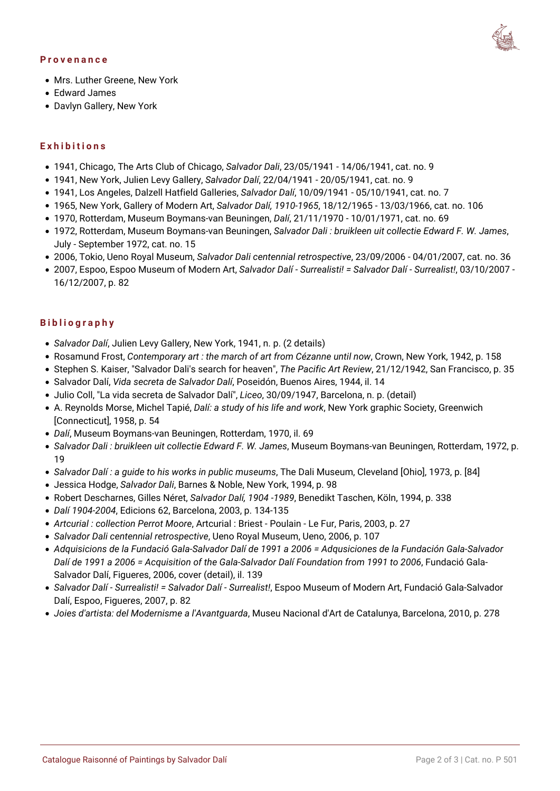#### **Provenance**



- Mrs. Luther Greene, New York
- Edward James
- Davlyn Gallery, New York

#### **Exhibitions**

- 1941, Chicago, The Arts Club of Chicago, *Salvador Dali*, 23/05/1941 14/06/1941, cat. no. 9
- 1941, New York, Julien Levy Gallery, *Salvador Dalí*, 22/04/1941 20/05/1941, cat. no. 9
- 1941, Los Angeles, Dalzell Hatfield Galleries, *Salvador Dalí*, 10/09/1941 05/10/1941, cat. no. 7
- 1965, New York, Gallery of Modern Art, *Salvador Dalí, 1910-1965*, 18/12/1965 13/03/1966, cat. no. 106
- 1970, Rotterdam, Museum Boymans-van Beuningen, *Dalí*, 21/11/1970 10/01/1971, cat. no. 69
- 1972, Rotterdam, Museum Boymans-van Beuningen, *Salvador Dali : bruikleen uit collectie Edward F. W. James*, July - September 1972, cat. no. 15
- 2006, Tokio, Ueno Royal Museum, *Salvador Dali centennial retrospective*, 23/09/2006 04/01/2007, cat. no. 36
- 2007, Espoo, Espoo Museum of Modern Art, *Salvador Dalí Surrealisti! = Salvador Dalí Surrealist!*, 03/10/2007 16/12/2007, p. 82

#### **Bibliography**

- *Salvador Dalí*, Julien Levy Gallery, New York, 1941, n. p. (2 details)
- Rosamund Frost, *Contemporary art : the march of art from Cézanne until now*, Crown, New York, 1942, p. 158
- Stephen S. Kaiser, "Salvador Dali's search for heaven", *The Pacific Art Review*, 21/12/1942, San Francisco, p. 35
- Salvador Dalí, *Vida secreta de Salvador Dalí*, Poseidón, Buenos Aires, 1944, il. 14
- Julio Coll, "La vida secreta de Salvador Dalí", *Liceo*, 30/09/1947, Barcelona, n. p. (detail)
- A. Reynolds Morse, Michel Tapié, *Dalí: a study of his life and work*, New York graphic Society, Greenwich [Connecticut], 1958, p. 54
- *Dalí*, Museum Boymans-van Beuningen, Rotterdam, 1970, il. 69
- *Salvador Dali : bruikleen uit collectie Edward F. W. James*, Museum Boymans-van Beuningen, Rotterdam, 1972, p. 19
- *Salvador Dalí : a guide to his works in public museums*, The Dali Museum, Cleveland [Ohio], 1973, p. [84]
- Jessica Hodge, *Salvador Dali*, Barnes & Noble, New York, 1994, p. 98
- Robert Descharnes, Gilles Néret, *Salvador Dalí, 1904 -1989*, Benedikt Taschen, Köln, 1994, p. 338
- *Dalí 1904-2004*, Edicions 62, Barcelona, 2003, p. 134-135
- *Artcurial : collection Perrot Moore*, Artcurial : Briest Poulain Le Fur, Paris, 2003, p. 27
- *Salvador Dali centennial retrospective*, Ueno Royal Museum, Ueno, 2006, p. 107
- *Adquisicions de la Fundació Gala-Salvador Dalí de 1991 a 2006 = Adqusiciones de la Fundación Gala-Salvador Dalí de 1991 a 2006 = Acquisition of the Gala-Salvador Dalí Foundation from 1991 to 2006*, Fundació Gala-Salvador Dalí, Figueres, 2006, cover (detail), il. 139
- *Salvador Dalí Surrealisti! = Salvador Dalí Surrealist!*, Espoo Museum of Modern Art, Fundació Gala-Salvador Dalí, Espoo, Figueres, 2007, p. 82
- *Joies d'artista: del Modernisme a l'Avantguarda*, Museu Nacional d'Art de Catalunya, Barcelona, 2010, p. 278